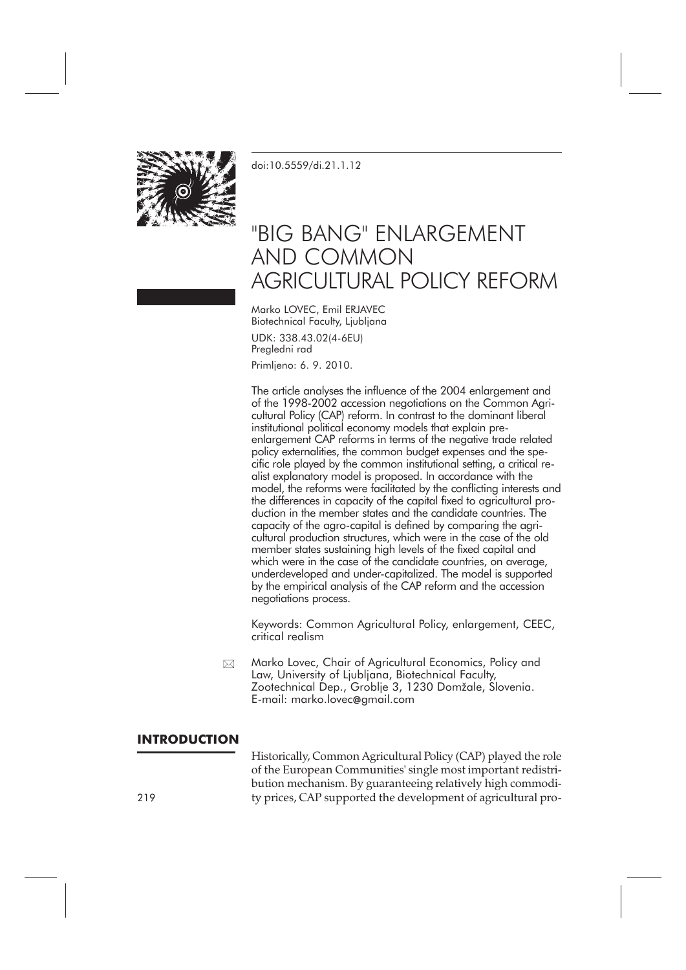

[doi:10.5559/di.21.1.12](http://dx.doi.org/10.5559/di.21.1.12)

# "BIG BANG" ENLARGEMENT AND COMMON AGRICULTURAL POLICY REFORM

Marko LOVEC, Emil ERJAVEC Biotechnical Faculty, Ljubljana

UDK: 338.43.02(4-6EU) Pregledni rad Primljeno: 6. 9. 2010.

The article analyses the influence of the 2004 enlargement and of the 1998-2002 accession negotiations on the Common Agricultural Policy (CAP) reform. In contrast to the dominant liberal institutional political economy models that explain preenlargement CAP reforms in terms of the negative trade related policy externalities, the common budget expenses and the specific role played by the common institutional setting, a critical realist explanatory model is proposed. In accordance with the model, the reforms were facilitated by the conflicting interests and the differences in capacity of the capital fixed to agricultural production in the member states and the candidate countries. The capacity of the agro-capital is defined by comparing the agricultural production structures, which were in the case of the old member states sustaining high levels of the fixed capital and which were in the case of the candidate countries, on average, underdeveloped and under-capitalized. The model is supported by the empirical analysis of the CAP reform and the accession negotiations process.

Keywords: Common Agricultural Policy, enlargement, CEEC, critical realism

Marko Lovec, Chair of Agricultural Economics, Policy and Law, University of Ljubljana, Biotechnical Faculty, Zootechnical Dep., Groblje 3, 1230 Domžale, Slovenia. E-mail: marko.lovec**@**gmail.com  $\boxtimes$ 

#### **INTRODUCTION**

Historically, Common Agricultural Policy (CAP) played the role of the European Communities' single most important redistribution mechanism. By guaranteeing relatively high commodi-219 ty prices, CAP supported the development of agricultural pro-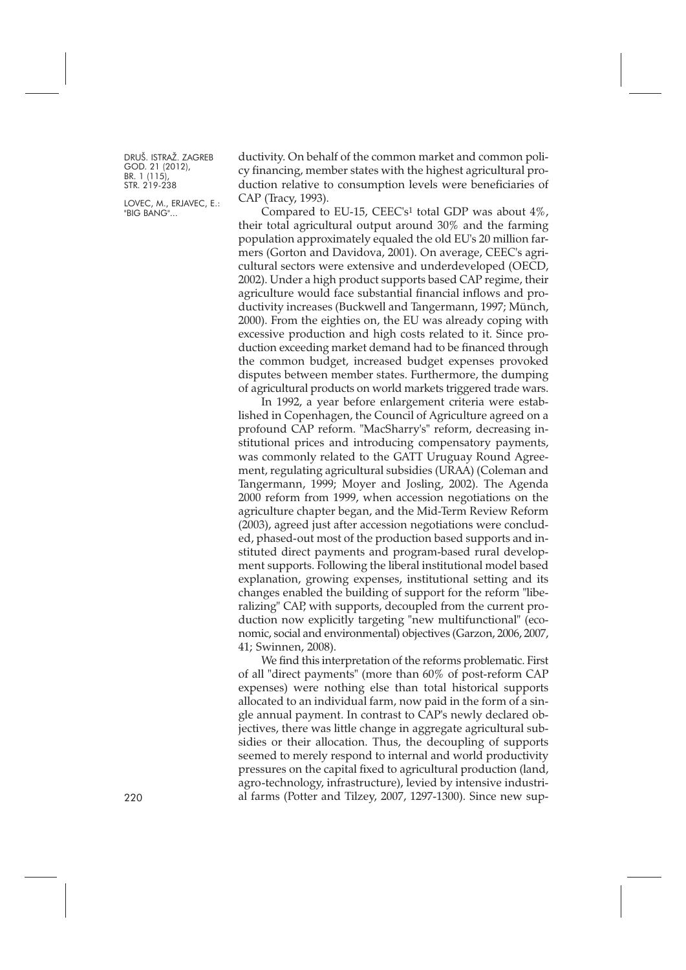LOVEC, M., ERJAVEC, E.: "BIG BANG"...

ductivity. On behalf of the common market and common policy financing, member states with the highest agricultural production relative to consumption levels were beneficiaries of CAP (Tracy, 1993).

Compared to EU-15, CEEC's<sup>1</sup> total GDP was about  $4\%$ , their total agricultural output around 30% and the farming population approximately equaled the old EU's 20 million farmers (Gorton and Davidova, 2001). On average, CEEC's agricultural sectors were extensive and underdeveloped (OECD, 2002). Under a high product supports based CAP regime, their agriculture would face substantial financial inflows and productivity increases (Buckwell and Tangermann, 1997; Münch, 2000). From the eighties on, the EU was already coping with excessive production and high costs related to it. Since production exceeding market demand had to be financed through the common budget, increased budget expenses provoked disputes between member states. Furthermore, the dumping of agricultural products on world markets triggered trade wars.

In 1992, a year before enlargement criteria were established in Copenhagen, the Council of Agriculture agreed on a profound CAP reform. "MacSharry's" reform, decreasing institutional prices and introducing compensatory payments, was commonly related to the GATT Uruguay Round Agreement, regulating agricultural subsidies (URAA) (Coleman and Tangermann, 1999; Moyer and Josling, 2002). The Agenda 2000 reform from 1999, when accession negotiations on the agriculture chapter began, and the Mid-Term Review Reform (2003), agreed just after accession negotiations were concluded, phased-out most of the production based supports and instituted direct payments and program-based rural development supports. Following the liberal institutional model based explanation, growing expenses, institutional setting and its changes enabled the building of support for the reform "liberalizing" CAP, with supports, decoupled from the current production now explicitly targeting "new multifunctional" (economic, social and environmental) objectives (Garzon, 2006, 2007, 41; Swinnen, 2008).

We find this interpretation of the reforms problematic. First of all "direct payments" (more than 60% of post-reform CAP expenses) were nothing else than total historical supports allocated to an individual farm, now paid in the form of a single annual payment. In contrast to CAP's newly declared objectives, there was little change in aggregate agricultural subsidies or their allocation. Thus, the decoupling of supports seemed to merely respond to internal and world productivity pressures on the capital fixed to agricultural production (land, agro-technology, infrastructure), levied by intensive industri-220 al farms (Potter and Tilzey, 2007, 1297-1300). Since new sup-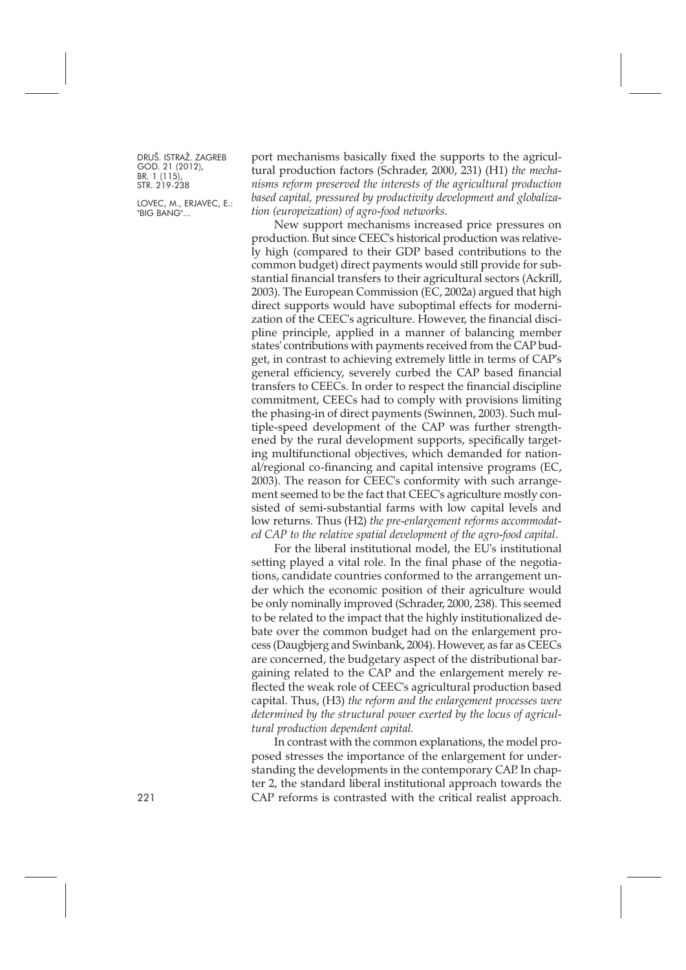LOVEC, M., ERJAVEC, E.: "BIG BANG"...

port mechanisms basically fixed the supports to the agricultural production factors (Schrader, 2000, 231) (H1) *the mechanisms reform preserved the interests of the agricultural production based capital, pressured by productivity development and globalization (europeization) of agro-food networks.*

New support mechanisms increased price pressures on production. But since CEEC's historical production was relatively high (compared to their GDP based contributions to the common budget) direct payments would still provide for substantial financial transfers to their agricultural sectors (Ackrill, 2003). The European Commission (EC, 2002a) argued that high direct supports would have suboptimal effects for modernization of the CEEC's agriculture. However, the financial discipline principle, applied in a manner of balancing member states' contributions with payments received from the CAP budget, in contrast to achieving extremely little in terms of CAP's general efficiency, severely curbed the CAP based financial transfers to CEECs. In order to respect the financial discipline commitment, CEECs had to comply with provisions limiting the phasing-in of direct payments (Swinnen, 2003). Such multiple-speed development of the CAP was further strengthened by the rural development supports, specifically targeting multifunctional objectives, which demanded for national/regional co-financing and capital intensive programs (EC, 2003). The reason for CEEC's conformity with such arrangement seemed to be the fact that CEEC's agriculture mostly consisted of semi-substantial farms with low capital levels and low returns. Thus (H2) *the pre-enlargement reforms accommodated CAP to the relative spatial development of the agro-food capital*.

For the liberal institutional model, the EU's institutional setting played a vital role. In the final phase of the negotiations, candidate countries conformed to the arrangement under which the economic position of their agriculture would be only nominally improved (Schrader, 2000, 238). This seemed to be related to the impact that the highly institutionalized debate over the common budget had on the enlargement process (Daugbjerg and Swinbank, 2004). However, as far as CEECs are concerned, the budgetary aspect of the distributional bargaining related to the CAP and the enlargement merely reflected the weak role of CEEC's agricultural production based capital. Thus, (H3) *the reform and the enlargement processes were determined by the structural power exerted by the locus of agricultural production dependent capital.*

In contrast with the common explanations, the model proposed stresses the importance of the enlargement for understanding the developments in the contemporary CAP. In chapter 2, the standard liberal institutional approach towards the 221 CAP reforms is contrasted with the critical realist approach.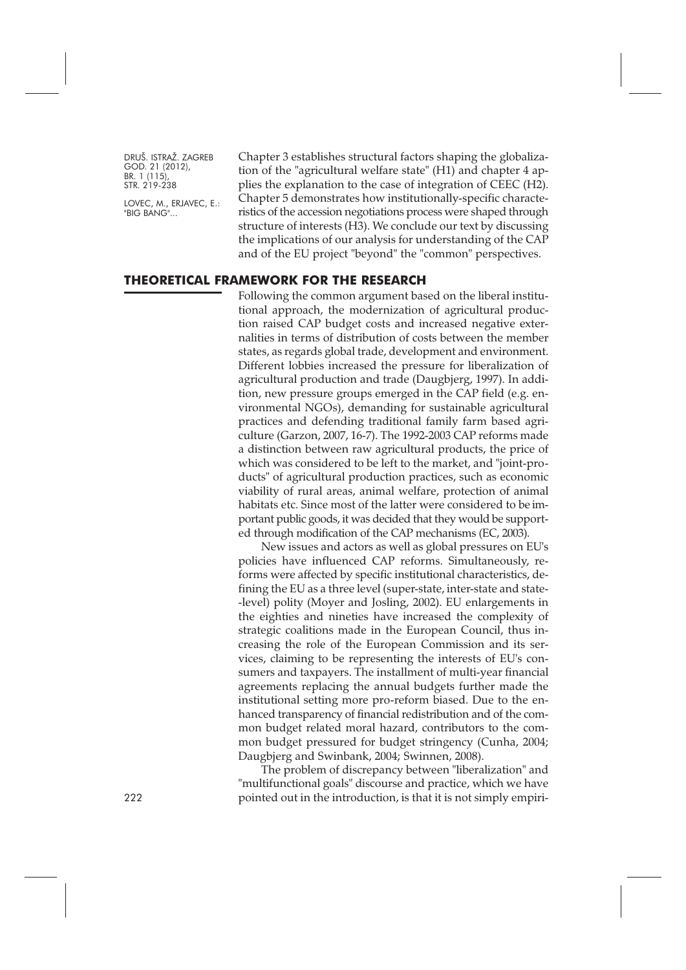LOVEC, M., ERJAVEC, E.: "BIG BANG"...

Chapter 3 establishes structural factors shaping the globalization of the "agricultural welfare state" (H1) and chapter 4 applies the explanation to the case of integration of CEEC (H2). Chapter 5 demonstrates how institutionally-specific characteristics of the accession negotiations process were shaped through structure of interests (H3). We conclude our text by discussing the implications of our analysis for understanding of the CAP and of the EU project "beyond" the "common" perspectives.

#### **THEORETICAL FRAMEWORK FOR THE RESEARCH**

Following the common argument based on the liberal institutional approach, the modernization of agricultural production raised CAP budget costs and increased negative externalities in terms of distribution of costs between the member states, as regards global trade, development and environment. Different lobbies increased the pressure for liberalization of agricultural production and trade (Daugbjerg, 1997). In addition, new pressure groups emerged in the CAP field (e.g. environmental NGOs), demanding for sustainable agricultural practices and defending traditional family farm based agriculture (Garzon, 2007, 16-7). The 1992-2003 CAP reforms made a distinction between raw agricultural products, the price of which was considered to be left to the market, and "joint-products" of agricultural production practices, such as economic viability of rural areas, animal welfare, protection of animal habitats etc. Since most of the latter were considered to be important public goods, it was decided that they would be supported through modification of the CAP mechanisms (EC, 2003).

New issues and actors as well as global pressures on EU's policies have influenced CAP reforms. Simultaneously, reforms were affected by specific institutional characteristics, defining the EU as a three level (super-state, inter-state and state- -level) polity (Moyer and Josling, 2002). EU enlargements in the eighties and nineties have increased the complexity of strategic coalitions made in the European Council, thus increasing the role of the European Commission and its services, claiming to be representing the interests of EU's consumers and taxpayers. The installment of multi-year financial agreements replacing the annual budgets further made the institutional setting more pro-reform biased. Due to the enhanced transparency of financial redistribution and of the common budget related moral hazard, contributors to the common budget pressured for budget stringency (Cunha, 2004; Daugbjerg and Swinbank, 2004; Swinnen, 2008).

The problem of discrepancy between "liberalization" and "multifunctional goals" discourse and practice, which we have 222 pointed out in the introduction, is that it is not simply empiri-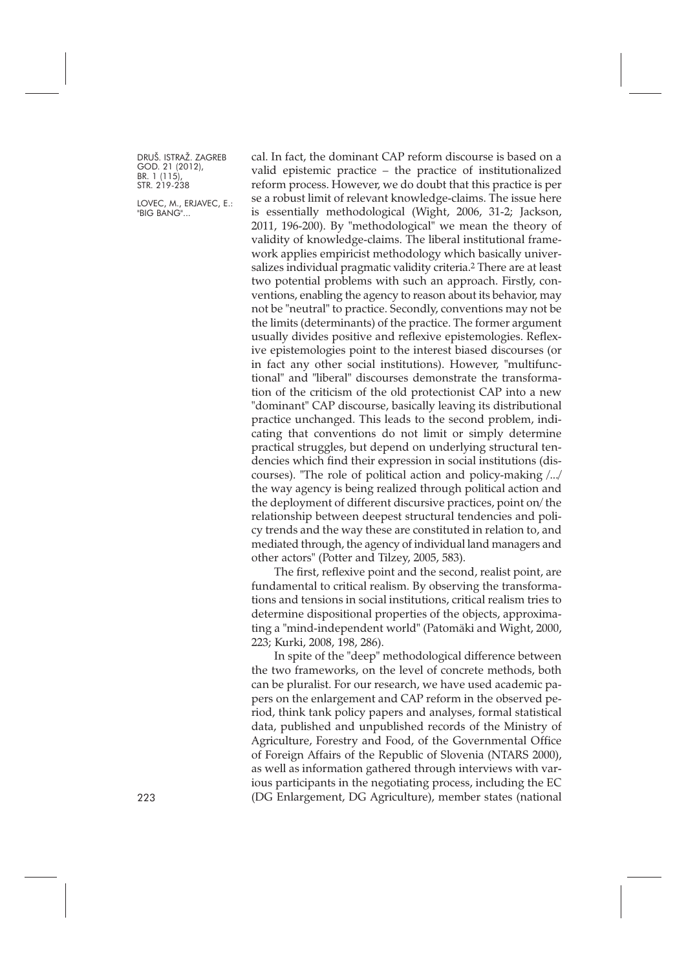LOVEC, M., ERJAVEC, E.: "BIG BANG"...

cal. In fact, the dominant CAP reform discourse is based on a valid epistemic practice – the practice of institutionalized reform process. However, we do doubt that this practice is per se a robust limit of relevant knowledge-claims. The issue here is essentially methodological (Wight, 2006, 31-2; Jackson, 2011, 196-200). By "methodological" we mean the theory of validity of knowledge-claims. The liberal institutional framework applies empiricist methodology which basically universalizes individual pragmatic validity criteria.2 There are at least two potential problems with such an approach. Firstly, conventions, enabling the agency to reason about its behavior, may not be "neutral" to practice. Secondly, conventions may not be the limits (determinants) of the practice. The former argument usually divides positive and reflexive epistemologies. Reflexive epistemologies point to the interest biased discourses (or in fact any other social institutions). However, "multifunctional" and "liberal" discourses demonstrate the transformation of the criticism of the old protectionist CAP into a new "dominant" CAP discourse, basically leaving its distributional practice unchanged. This leads to the second problem, indicating that conventions do not limit or simply determine practical struggles, but depend on underlying structural tendencies which find their expression in social institutions (discourses). "The role of political action and policy-making /.../ the way agency is being realized through political action and the deployment of different discursive practices, point on/ the relationship between deepest structural tendencies and policy trends and the way these are constituted in relation to, and mediated through, the agency of individual land managers and other actors" (Potter and Tilzey, 2005, 583).

The first, reflexive point and the second, realist point, are fundamental to critical realism. By observing the transformations and tensions in social institutions, critical realism tries to determine dispositional properties of the objects, approximating a "mind-independent world" (Patomäki and Wight, 2000, 223; Kurki, 2008, 198, 286).

In spite of the "deep" methodological difference between the two frameworks, on the level of concrete methods, both can be pluralist. For our research, we have used academic papers on the enlargement and CAP reform in the observed period, think tank policy papers and analyses, formal statistical data, published and unpublished records of the Ministry of Agriculture, Forestry and Food, of the Governmental Office of Foreign Affairs of the Republic of Slovenia (NTARS 2000), as well as information gathered through interviews with various participants in the negotiating process, including the EC 223 (DG Enlargement, DG Agriculture), member states (national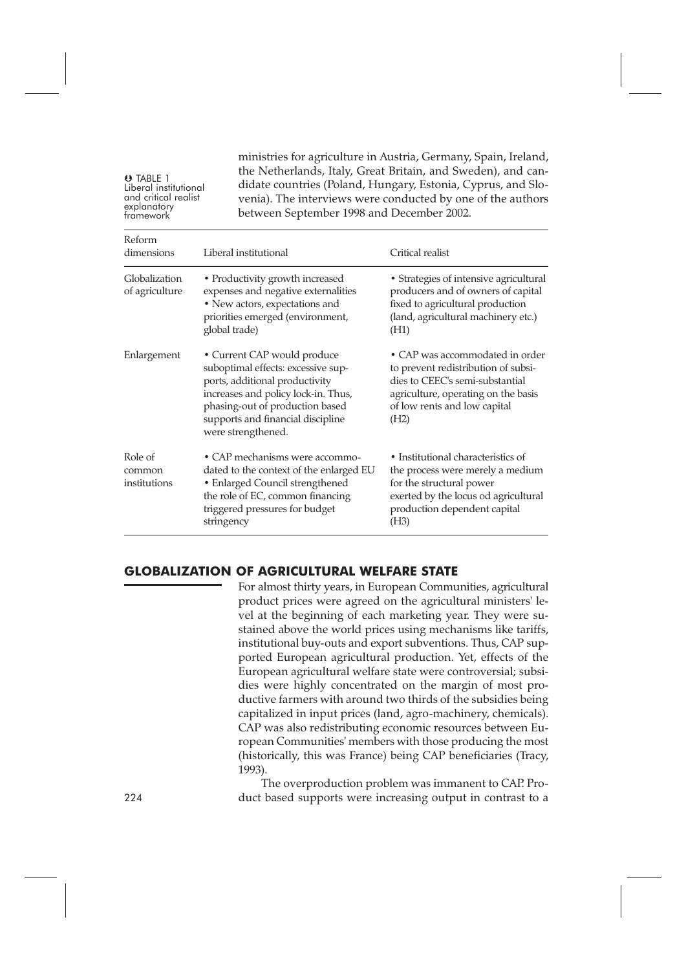**O** TABLE 1<br>Liberal institutional Liberal institutional and critical realist explanatory framework

ministries for agriculture in Austria, Germany, Spain, Ireland, the Netherlands, Italy, Great Britain, and Sweden), and candidate countries (Poland, Hungary, Estonia, Cyprus, and Slovenia). The interviews were conducted by one of the authors between September 1998 and December 2002.

| Reform<br>dimensions              | Liberal institutional                                                                                                                                                                                                                    | Critical realist                                                                                                                                                                         |  |  |
|-----------------------------------|------------------------------------------------------------------------------------------------------------------------------------------------------------------------------------------------------------------------------------------|------------------------------------------------------------------------------------------------------------------------------------------------------------------------------------------|--|--|
| Globalization<br>of agriculture   | • Productivity growth increased<br>expenses and negative externalities<br>• New actors, expectations and<br>priorities emerged (environment,<br>global trade)                                                                            | • Strategies of intensive agricultural<br>producers and of owners of capital<br>fixed to agricultural production<br>(land, agricultural machinery etc.)<br>(H1)                          |  |  |
| Enlargement                       | • Current CAP would produce<br>suboptimal effects: excessive sup-<br>ports, additional productivity<br>increases and policy lock-in. Thus,<br>phasing-out of production based<br>supports and financial discipline<br>were strengthened. | • CAP was accommodated in order<br>to prevent redistribution of subsi-<br>dies to CEEC's semi-substantial<br>agriculture, operating on the basis<br>of low rents and low capital<br>(H2) |  |  |
| Role of<br>common<br>institutions | • CAP mechanisms were accommo-<br>dated to the context of the enlarged EU<br>• Enlarged Council strengthened<br>the role of EC, common financing<br>triggered pressures for budget<br>stringency                                         | • Institutional characteristics of<br>the process were merely a medium<br>for the structural power<br>exerted by the locus od agricultural<br>production dependent capital<br>(H3)       |  |  |

#### **GLOBALIZATION OF AGRICULTURAL WELFARE STATE**

For almost thirty years, in European Communities, agricultural product prices were agreed on the agricultural ministers' level at the beginning of each marketing year. They were sustained above the world prices using mechanisms like tariffs, institutional buy-outs and export subventions. Thus, CAP supported European agricultural production. Yet, effects of the European agricultural welfare state were controversial; subsidies were highly concentrated on the margin of most productive farmers with around two thirds of the subsidies being capitalized in input prices (land, agro-machinery, chemicals). CAP was also redistributing economic resources between European Communities' members with those producing the most (historically, this was France) being CAP beneficiaries (Tracy, 1993).

The overproduction problem was immanent to CAP. Pro-224 duct based supports were increasing output in contrast to a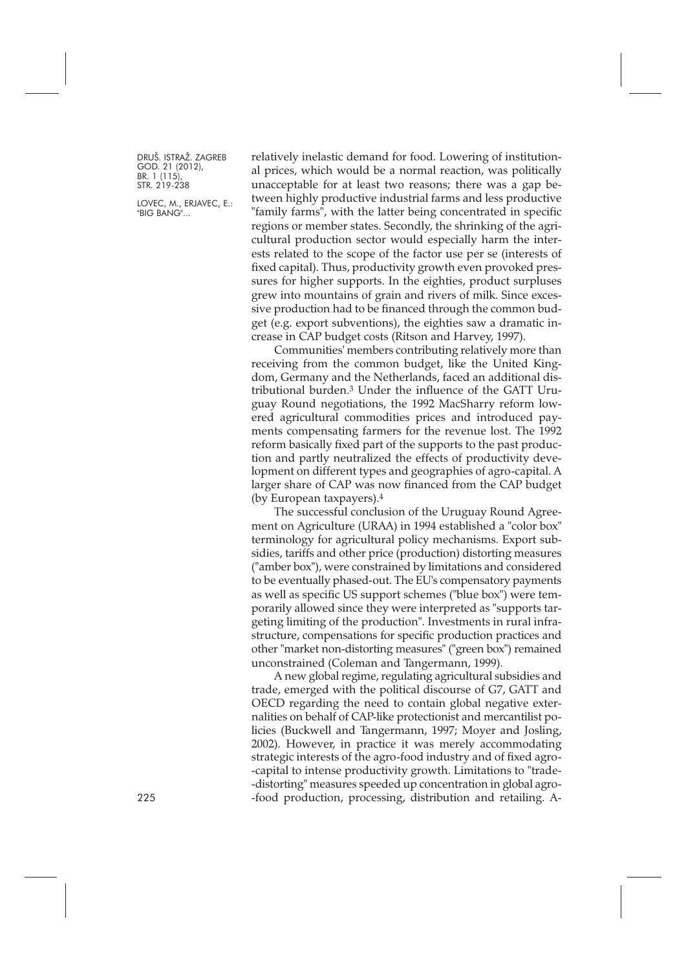LOVEC, M., ERJAVEC, E.: "BIG BANG"...

relatively inelastic demand for food. Lowering of institutional prices, which would be a normal reaction, was politically unacceptable for at least two reasons; there was a gap between highly productive industrial farms and less productive "family farms", with the latter being concentrated in specific regions or member states. Secondly, the shrinking of the agricultural production sector would especially harm the interests related to the scope of the factor use per se (interests of fixed capital). Thus, productivity growth even provoked pressures for higher supports. In the eighties, product surpluses grew into mountains of grain and rivers of milk. Since excessive production had to be financed through the common budget (e.g. export subventions), the eighties saw a dramatic increase in CAP budget costs (Ritson and Harvey, 1997).

Communities' members contributing relatively more than receiving from the common budget, like the United Kingdom, Germany and the Netherlands, faced an additional distributional burden.3 Under the influence of the GATT Uruguay Round negotiations, the 1992 MacSharry reform lowered agricultural commodities prices and introduced payments compensating farmers for the revenue lost. The 1992 reform basically fixed part of the supports to the past production and partly neutralized the effects of productivity development on different types and geographies of agro-capital. A larger share of CAP was now financed from the CAP budget (by European taxpayers).4

The successful conclusion of the Uruguay Round Agreement on Agriculture (URAA) in 1994 established a "color box" terminology for agricultural policy mechanisms. Export subsidies, tariffs and other price (production) distorting measures ("amber box"), were constrained by limitations and considered to be eventually phased-out. The EU's compensatory payments as well as specific US support schemes ("blue box") were temporarily allowed since they were interpreted as "supports targeting limiting of the production". Investments in rural infrastructure, compensations for specific production practices and other "market non-distorting measures" ("green box") remained unconstrained (Coleman and Tangermann, 1999).

A new global regime, regulating agricultural subsidies and trade, emerged with the political discourse of G7, GATT and OECD regarding the need to contain global negative externalities on behalf of CAP-like protectionist and mercantilist policies (Buckwell and Tangermann, 1997; Moyer and Josling, 2002). However, in practice it was merely accommodating strategic interests of the agro-food industry and of fixed agro- -capital to intense productivity growth. Limitations to "trade- -distorting" measures speeded up concentration in global agro-225 -food production, processing, distribution and retailing. A-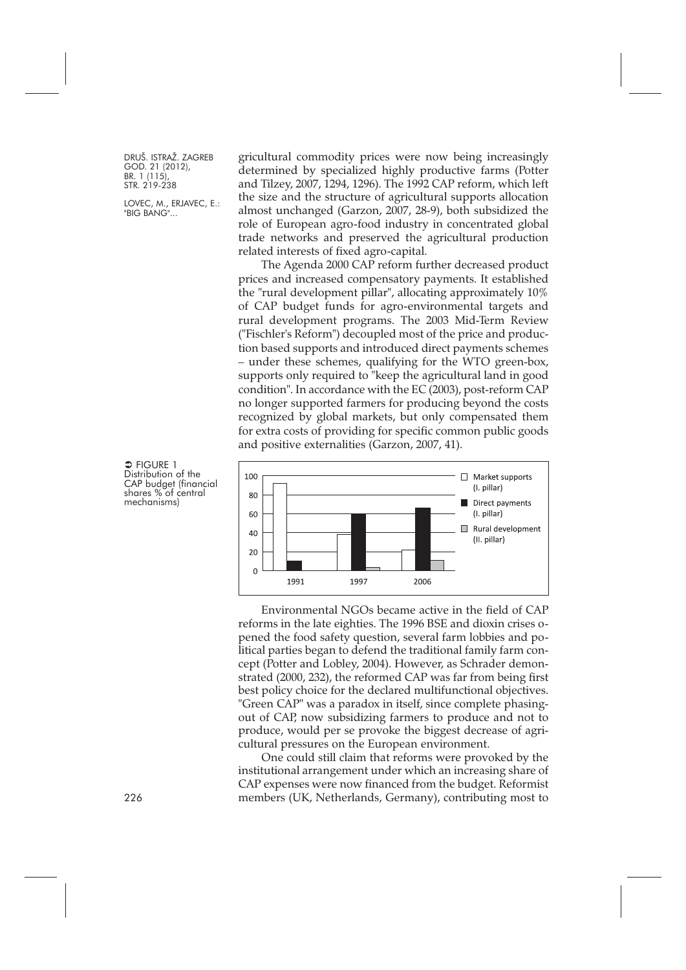LOVEC, M., ERJAVEC, E.: "BIG BANG"...

 $\Rightarrow$  FIGURE 1 Distribution of the CAP budget (financial shares % of central mechanisms)

gricultural commodity prices were now being increasingly determined by specialized highly productive farms (Potter and Tilzey, 2007, 1294, 1296). The 1992 CAP reform, which left the size and the structure of agricultural supports allocation almost unchanged (Garzon, 2007, 28-9), both subsidized the role of European agro-food industry in concentrated global trade networks and preserved the agricultural production related interests of fixed agro-capital.

The Agenda 2000 CAP reform further decreased product prices and increased compensatory payments. It established the "rural development pillar", allocating approximately 10% of CAP budget funds for agro-environmental targets and rural development programs. The 2003 Mid-Term Review ("Fischler's Reform") decoupled most of the price and production based supports and introduced direct payments schemes – under these schemes, qualifying for the WTO green-box, supports only required to "keep the agricultural land in good condition". In accordance with the EC (2003), post-reform CAP no longer supported farmers for producing beyond the costs recognized by global markets, but only compensated them for extra costs of providing for specific common public goods and positive externalities (Garzon, 2007, 41).



Environmental NGOs became active in the field of CAP reforms in the late eighties. The 1996 BSE and dioxin crises opened the food safety question, several farm lobbies and political parties began to defend the traditional family farm concept (Potter and Lobley, 2004). However, as Schrader demonstrated (2000, 232), the reformed CAP was far from being first best policy choice for the declared multifunctional objectives. "Green CAP" was a paradox in itself, since complete phasingout of CAP, now subsidizing farmers to produce and not to produce, would per se provoke the biggest decrease of agricultural pressures on the European environment.

One could still claim that reforms were provoked by the institutional arrangement under which an increasing share of CAP expenses were now financed from the budget. Reformist 226 members (UK, Netherlands, Germany), contributing most to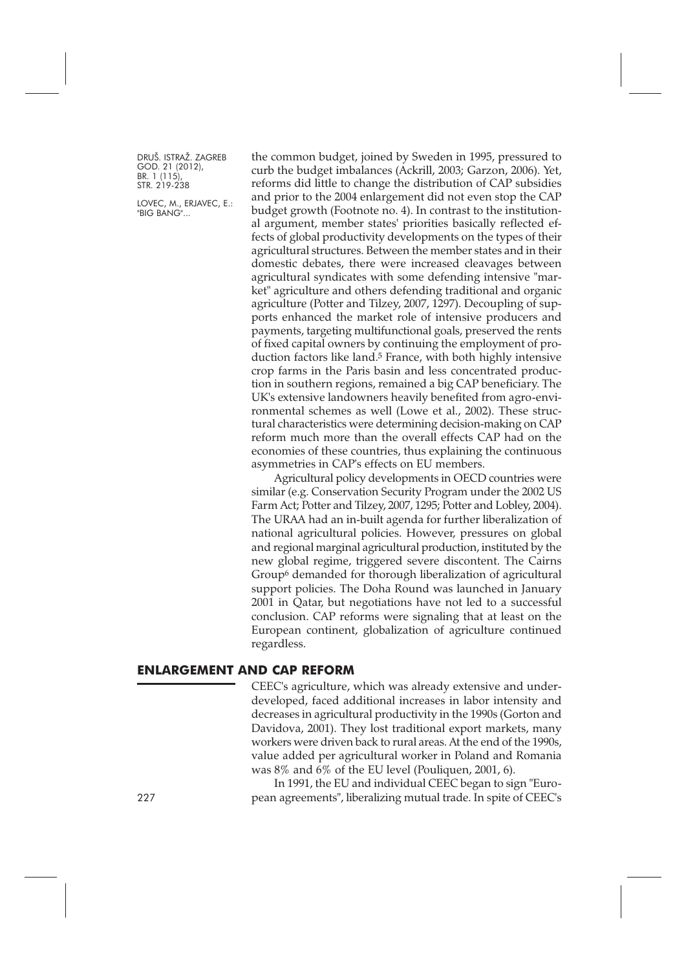LOVEC, M., ERJAVEC, E.: "BIG BANG"...

the common budget, joined by Sweden in 1995, pressured to curb the budget imbalances (Ackrill, 2003; Garzon, 2006). Yet, reforms did little to change the distribution of CAP subsidies and prior to the 2004 enlargement did not even stop the CAP budget growth (Footnote no. 4). In contrast to the institutional argument, member states' priorities basically reflected effects of global productivity developments on the types of their agricultural structures. Between the member states and in their domestic debates, there were increased cleavages between agricultural syndicates with some defending intensive "market" agriculture and others defending traditional and organic agriculture (Potter and Tilzey, 2007, 1297). Decoupling of supports enhanced the market role of intensive producers and payments, targeting multifunctional goals, preserved the rents of fixed capital owners by continuing the employment of production factors like land.<sup>5</sup> France, with both highly intensive crop farms in the Paris basin and less concentrated production in southern regions, remained a big CAP beneficiary. The UK's extensive landowners heavily benefited from agro-environmental schemes as well (Lowe et al., 2002). These structural characteristics were determining decision-making on CAP reform much more than the overall effects CAP had on the economies of these countries, thus explaining the continuous asymmetries in CAP's effects on EU members.

Agricultural policy developments in OECD countries were similar (e.g. Conservation Security Program under the 2002 US Farm Act; Potter and Tilzey, 2007, 1295; Potter and Lobley, 2004). The URAA had an in-built agenda for further liberalization of national agricultural policies. However, pressures on global and regional marginal agricultural production, instituted by the new global regime, triggered severe discontent. The Cairns Group6 demanded for thorough liberalization of agricultural support policies. The Doha Round was launched in January 2001 in Qatar, but negotiations have not led to a successful conclusion. CAP reforms were signaling that at least on the European continent, globalization of agriculture continued regardless.

#### **ENLARGEMENT AND CAP REFORM**

CEEC's agriculture, which was already extensive and underdeveloped, faced additional increases in labor intensity and decreases in agricultural productivity in the 1990s (Gorton and Davidova, 2001). They lost traditional export markets, many workers were driven back to rural areas. At the end of the 1990s, value added per agricultural worker in Poland and Romania was 8% and 6% of the EU level (Pouliquen, 2001, 6).

In 1991, the EU and individual CEEC began to sign "Euro-227 pean agreements", liberalizing mutual trade. In spite of CEEC's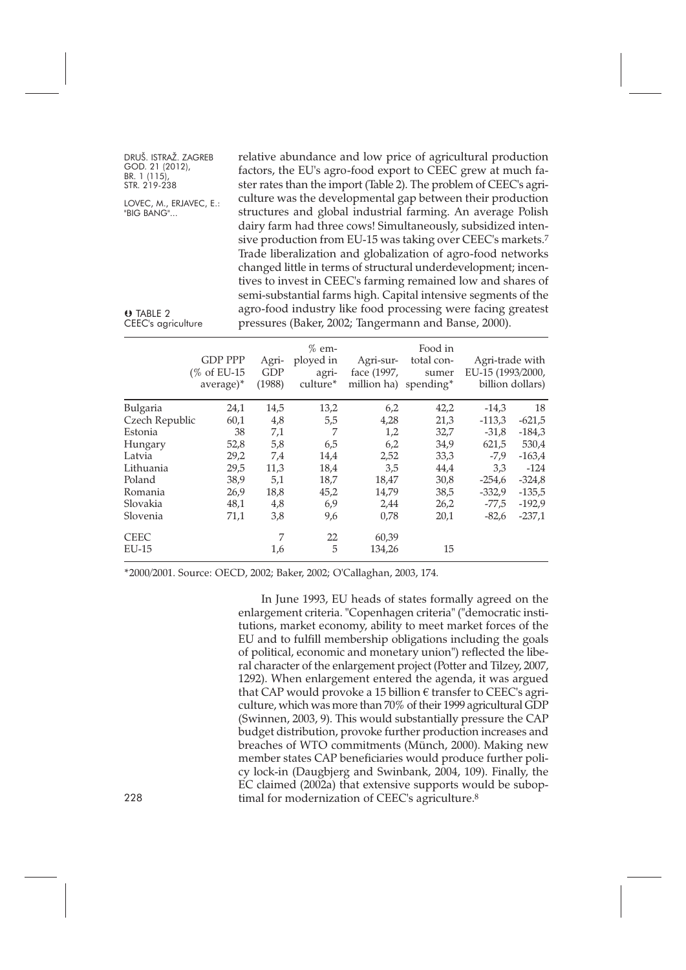| DRUŠ. ISTRAŽ. ZAGREB         | relative abundance and low price of agricultural production             |
|------------------------------|-------------------------------------------------------------------------|
| GOD. 21 (2012),              | factors, the EU's agro-food export to CEEC grew at much fa-             |
| BR. 1 (115),<br>STR. 219-238 | ster rates than the import (Table 2). The problem of CEEC's agri-       |
| LOVEC, M., ERJAVEC, E.:      | culture was the developmental gap between their production              |
| "BIG BANG"                   | structures and global industrial farming. An average Polish             |
|                              | dairy farm had three cows! Simultaneously, subsidized inten-            |
|                              | sive production from EU-15 was taking over CEEC's markets. <sup>7</sup> |
|                              | Trade liberalization and globalization of agro-food networks            |
|                              | changed little in terms of structural underdevelopment; incen-          |
|                              | tives to invest in CEEC's farming remained low and shares of            |
|                              | semi-substantial farms high. Capital intensive segments of the          |
| O TABLE 2                    | agro-food industry like food processing were facing greatest            |
| CEEC's agriculture           | pressures (Baker, 2002; Tangermann and Banse, 2000).                    |
|                              |                                                                         |

|                 | <b>GDP PPP</b><br>(% of EU-15<br>average)* | Agri-<br><b>GDP</b><br>(1988) | $%$ em-<br>ployed in<br>agri-<br>culture* | Agri-sur-<br>face (1997,<br>million ha) spending* | Food in<br>total con-<br>sumer | Agri-trade with<br>EU-15 (1993/2000, | billion dollars) |
|-----------------|--------------------------------------------|-------------------------------|-------------------------------------------|---------------------------------------------------|--------------------------------|--------------------------------------|------------------|
| <b>Bulgaria</b> | 24,1                                       | 14,5                          | 13,2                                      | 6,2                                               | 42,2                           | $-14,3$                              | 18               |
| Czech Republic  | 60,1                                       | 4,8                           | 5,5                                       | 4,28                                              | 21,3                           | $-113.3$                             | $-621,5$         |
| Estonia         | 38                                         | 7,1                           | 7                                         | 1,2                                               | 32,7                           | $-31,8$                              | $-184,3$         |
| Hungary         | 52,8                                       | 5,8                           | 6,5                                       | 6,2                                               | 34,9                           | 621,5                                | 530,4            |
| Latvia          | 29,2                                       | 7,4                           | 14,4                                      | 2,52                                              | 33,3                           | $-7,9$                               | $-163,4$         |
| Lithuania       | 29,5                                       | 11,3                          | 18,4                                      | 3,5                                               | 44,4                           | 3,3                                  | $-124$           |
| Poland          | 38,9                                       | 5,1                           | 18,7                                      | 18,47                                             | 30,8                           | $-254,6$                             | $-324,8$         |
| Romania         | 26,9                                       | 18,8                          | 45,2                                      | 14,79                                             | 38,5                           | $-332.9$                             | $-135,5$         |
| Slovakia        | 48,1                                       | 4,8                           | 6,9                                       | 2,44                                              | 26,2                           | $-77,5$                              | $-192,9$         |
| Slovenia        | 71,1                                       | 3,8                           | 9,6                                       | 0,78                                              | 20,1                           | $-82,6$                              | $-237,1$         |
| <b>CEEC</b>     |                                            | 7                             | 22                                        | 60,39                                             |                                |                                      |                  |
| $EU-15$         |                                            | 1,6                           | 5                                         | 134,26                                            | 15                             |                                      |                  |

\*2000/2001. Source: OECD, 2002; Baker, 2002; O'Callaghan, 2003, 174.

In June 1993, EU heads of states formally agreed on the enlargement criteria. "Copenhagen criteria" ("democratic institutions, market economy, ability to meet market forces of the EU and to fulfill membership obligations including the goals of political, economic and monetary union") reflected the liberal character of the enlargement project (Potter and Tilzey, 2007, 1292). When enlargement entered the agenda, it was argued that CAP would provoke a 15 billion  $\epsilon$  transfer to CEEC's agriculture, which was more than 70% of their 1999 agricultural GDP (Swinnen, 2003, 9). This would substantially pressure the CAP budget distribution, provoke further production increases and breaches of WTO commitments (Münch, 2000). Making new member states CAP beneficiaries would produce further policy lock-in (Daugbjerg and Swinbank, 2004, 109). Finally, the EC claimed (2002a) that extensive supports would be subop-228 timal for modernization of CEEC's agriculture.<sup>8</sup>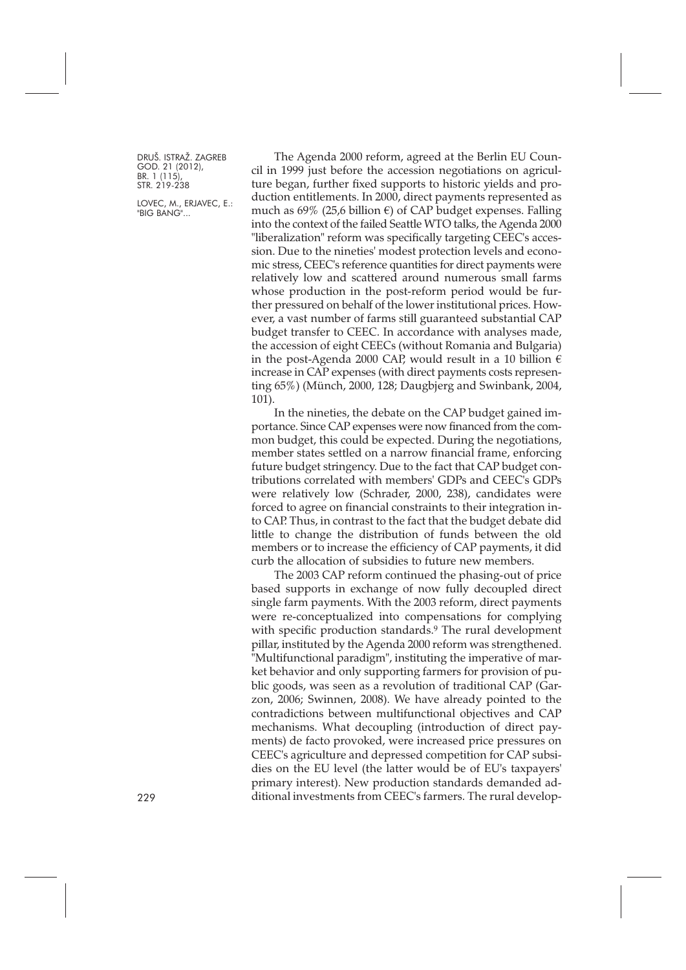LOVEC, M., ERJAVEC, E.: "BIG BANG"...

The Agenda 2000 reform, agreed at the Berlin EU Council in 1999 just before the accession negotiations on agriculture began, further fixed supports to historic yields and production entitlements. In 2000, direct payments represented as much as 69% (25,6 billion  $\epsilon$ ) of CAP budget expenses. Falling into the context of the failed Seattle WTO talks, the Agenda 2000 "liberalization" reform was specifically targeting CEEC's accession. Due to the nineties' modest protection levels and economic stress, CEEC's reference quantities for direct payments were relatively low and scattered around numerous small farms whose production in the post-reform period would be further pressured on behalf of the lower institutional prices. However, a vast number of farms still guaranteed substantial CAP budget transfer to CEEC. In accordance with analyses made, the accession of eight CEECs (without Romania and Bulgaria) in the post-Agenda 2000 CAP, would result in a 10 billion  $\epsilon$ increase in CAP expenses (with direct payments costs representing 65%) (Münch, 2000, 128; Daugbjerg and Swinbank, 2004, 101).

In the nineties, the debate on the CAP budget gained importance. Since CAP expenses were now financed from the common budget, this could be expected. During the negotiations, member states settled on a narrow financial frame, enforcing future budget stringency. Due to the fact that CAP budget contributions correlated with members' GDPs and CEEC's GDPs were relatively low (Schrader, 2000, 238), candidates were forced to agree on financial constraints to their integration into CAP. Thus, in contrast to the fact that the budget debate did little to change the distribution of funds between the old members or to increase the efficiency of CAP payments, it did curb the allocation of subsidies to future new members.

The 2003 CAP reform continued the phasing-out of price based supports in exchange of now fully decoupled direct single farm payments. With the 2003 reform, direct payments were re-conceptualized into compensations for complying with specific production standards.<sup>9</sup> The rural development pillar, instituted by the Agenda 2000 reform was strengthened. "Multifunctional paradigm", instituting the imperative of market behavior and only supporting farmers for provision of public goods, was seen as a revolution of traditional CAP (Garzon, 2006; Swinnen, 2008). We have already pointed to the contradictions between multifunctional objectives and CAP mechanisms. What decoupling (introduction of direct payments) de facto provoked, were increased price pressures on CEEC's agriculture and depressed competition for CAP subsidies on the EU level (the latter would be of EU's taxpayers' primary interest). New production standards demanded ad-229 ditional investments from CEEC's farmers. The rural develop-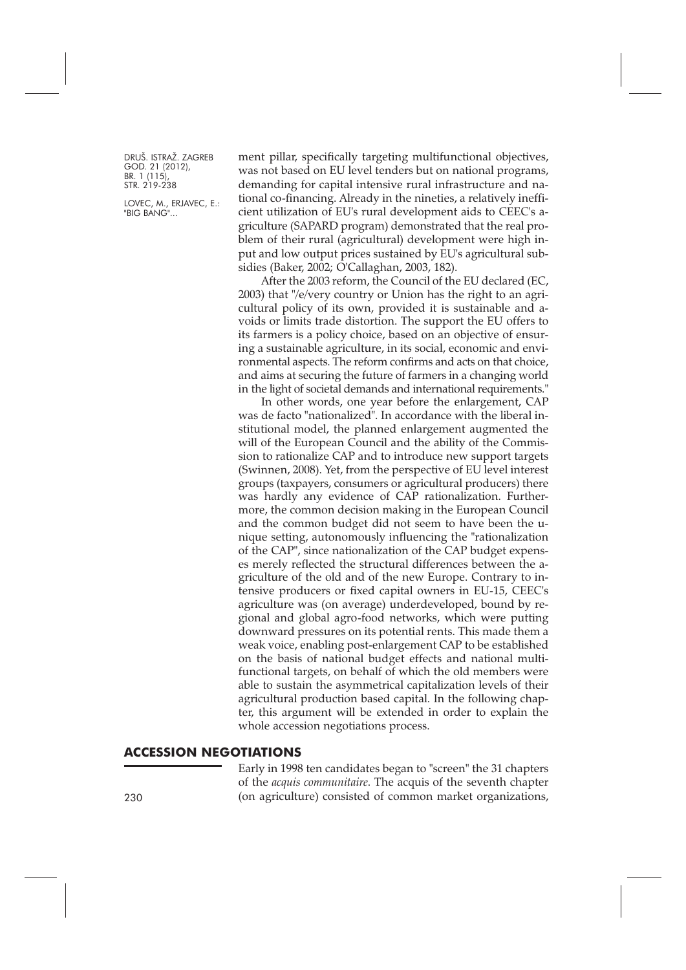LOVEC, M., ERJAVEC, E.: "BIG BANG"...

ment pillar, specifically targeting multifunctional objectives, was not based on EU level tenders but on national programs, demanding for capital intensive rural infrastructure and national co-financing. Already in the nineties, a relatively inefficient utilization of EU's rural development aids to CEEC's agriculture (SAPARD program) demonstrated that the real problem of their rural (agricultural) development were high input and low output prices sustained by EU's agricultural subsidies (Baker, 2002; O'Callaghan, 2003, 182).

After the 2003 reform, the Council of the EU declared (EC, 2003) that "/e/very country or Union has the right to an agricultural policy of its own, provided it is sustainable and avoids or limits trade distortion. The support the EU offers to its farmers is a policy choice, based on an objective of ensuring a sustainable agriculture, in its social, economic and environmental aspects. The reform confirms and acts on that choice, and aims at securing the future of farmers in a changing world in the light of societal demands and international requirements."

In other words, one year before the enlargement, CAP was de facto "nationalized". In accordance with the liberal institutional model, the planned enlargement augmented the will of the European Council and the ability of the Commission to rationalize CAP and to introduce new support targets (Swinnen, 2008). Yet, from the perspective of EU level interest groups (taxpayers, consumers or agricultural producers) there was hardly any evidence of CAP rationalization. Furthermore, the common decision making in the European Council and the common budget did not seem to have been the unique setting, autonomously influencing the "rationalization of the CAP", since nationalization of the CAP budget expenses merely reflected the structural differences between the agriculture of the old and of the new Europe. Contrary to intensive producers or fixed capital owners in EU-15, CEEC's agriculture was (on average) underdeveloped, bound by regional and global agro-food networks, which were putting downward pressures on its potential rents. This made them a weak voice, enabling post-enlargement CAP to be established on the basis of national budget effects and national multifunctional targets, on behalf of which the old members were able to sustain the asymmetrical capitalization levels of their agricultural production based capital. In the following chapter, this argument will be extended in order to explain the whole accession negotiations process.

#### **ACCESSION NEGOTIATIONS**

Early in 1998 ten candidates began to "screen" the 31 chapters of the *acquis communitaire*. The acquis of the seventh chapter 230 (on agriculture) consisted of common market organizations,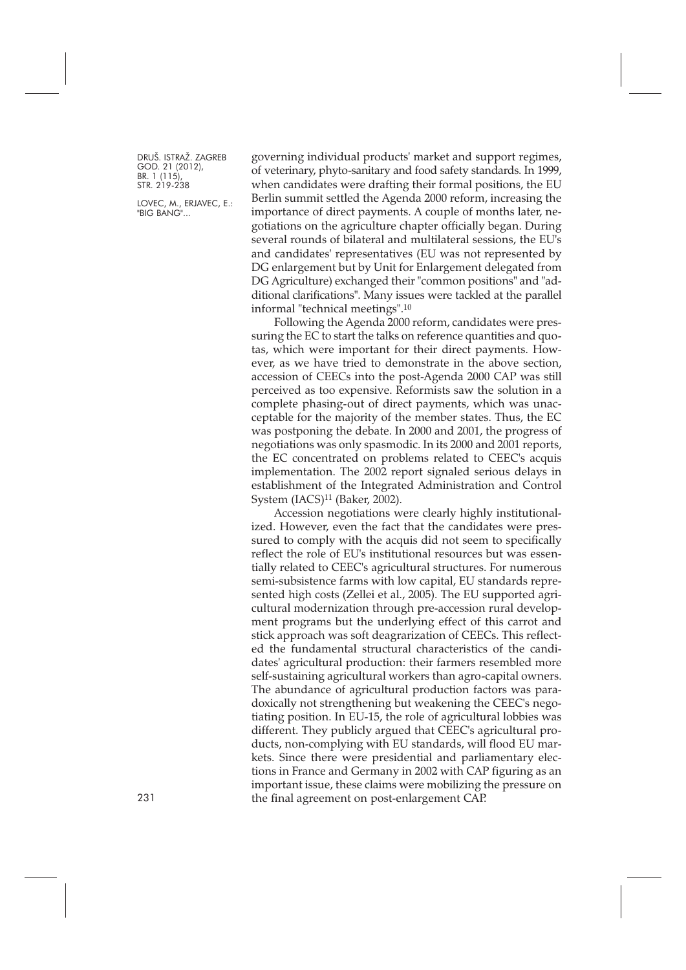LOVEC, M., ERJAVEC, E.: "BIG BANG"...

governing individual products' market and support regimes, of veterinary, phyto-sanitary and food safety standards. In 1999, when candidates were drafting their formal positions, the EU Berlin summit settled the Agenda 2000 reform, increasing the importance of direct payments. A couple of months later, negotiations on the agriculture chapter officially began. During several rounds of bilateral and multilateral sessions, the EU's and candidates' representatives (EU was not represented by DG enlargement but by Unit for Enlargement delegated from DG Agriculture) exchanged their "common positions" and "additional clarifications". Many issues were tackled at the parallel informal "technical meetings".10

Following the Agenda 2000 reform, candidates were pressuring the EC to start the talks on reference quantities and quotas, which were important for their direct payments. However, as we have tried to demonstrate in the above section, accession of CEECs into the post-Agenda 2000 CAP was still perceived as too expensive. Reformists saw the solution in a complete phasing-out of direct payments, which was unacceptable for the majority of the member states. Thus, the EC was postponing the debate. In 2000 and 2001, the progress of negotiations was only spasmodic. In its 2000 and 2001 reports, the EC concentrated on problems related to CEEC's acquis implementation. The 2002 report signaled serious delays in establishment of the Integrated Administration and Control System (IACS)11 (Baker, 2002).

Accession negotiations were clearly highly institutionalized. However, even the fact that the candidates were pressured to comply with the acquis did not seem to specifically reflect the role of EU's institutional resources but was essentially related to CEEC's agricultural structures. For numerous semi-subsistence farms with low capital, EU standards represented high costs (Zellei et al., 2005). The EU supported agricultural modernization through pre-accession rural development programs but the underlying effect of this carrot and stick approach was soft deagrarization of CEECs. This reflected the fundamental structural characteristics of the candidates' agricultural production: their farmers resembled more self-sustaining agricultural workers than agro-capital owners. The abundance of agricultural production factors was paradoxically not strengthening but weakening the CEEC's negotiating position. In EU-15, the role of agricultural lobbies was different. They publicly argued that CEEC's agricultural products, non-complying with EU standards, will flood EU markets. Since there were presidential and parliamentary elections in France and Germany in 2002 with CAP figuring as an important issue, these claims were mobilizing the pressure on 231 the final agreement on post-enlargement CAP.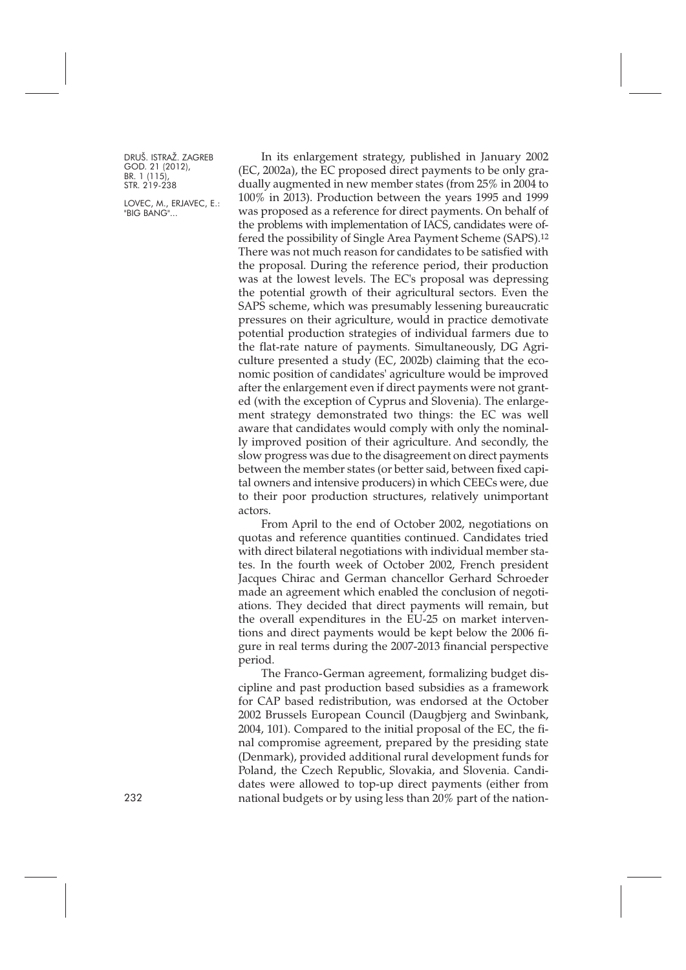LOVEC, M., ERJAVEC, E.: "BIG BANG"...

In its enlargement strategy, published in January 2002 (EC, 2002a), the EC proposed direct payments to be only gradually augmented in new member states (from 25% in 2004 to 100% in 2013). Production between the years 1995 and 1999 was proposed as a reference for direct payments. On behalf of the problems with implementation of IACS, candidates were offered the possibility of Single Area Payment Scheme (SAPS).12 There was not much reason for candidates to be satisfied with the proposal. During the reference period, their production was at the lowest levels. The EC's proposal was depressing the potential growth of their agricultural sectors. Even the SAPS scheme, which was presumably lessening bureaucratic pressures on their agriculture, would in practice demotivate potential production strategies of individual farmers due to the flat-rate nature of payments. Simultaneously, DG Agriculture presented a study (EC, 2002b) claiming that the economic position of candidates' agriculture would be improved after the enlargement even if direct payments were not granted (with the exception of Cyprus and Slovenia). The enlargement strategy demonstrated two things: the EC was well aware that candidates would comply with only the nominally improved position of their agriculture. And secondly, the slow progress was due to the disagreement on direct payments between the member states (or better said, between fixed capital owners and intensive producers) in which CEECs were, due to their poor production structures, relatively unimportant actors.

From April to the end of October 2002, negotiations on quotas and reference quantities continued. Candidates tried with direct bilateral negotiations with individual member states. In the fourth week of October 2002, French president Jacques Chirac and German chancellor Gerhard Schroeder made an agreement which enabled the conclusion of negotiations. They decided that direct payments will remain, but the overall expenditures in the EU-25 on market interventions and direct payments would be kept below the 2006 figure in real terms during the 2007-2013 financial perspective period.

The Franco-German agreement, formalizing budget discipline and past production based subsidies as a framework for CAP based redistribution, was endorsed at the October 2002 Brussels European Council (Daugbjerg and Swinbank, 2004, 101). Compared to the initial proposal of the EC, the final compromise agreement, prepared by the presiding state (Denmark), provided additional rural development funds for Poland, the Czech Republic, Slovakia, and Slovenia. Candidates were allowed to top-up direct payments (either from 232 national budgets or by using less than 20% part of the nation-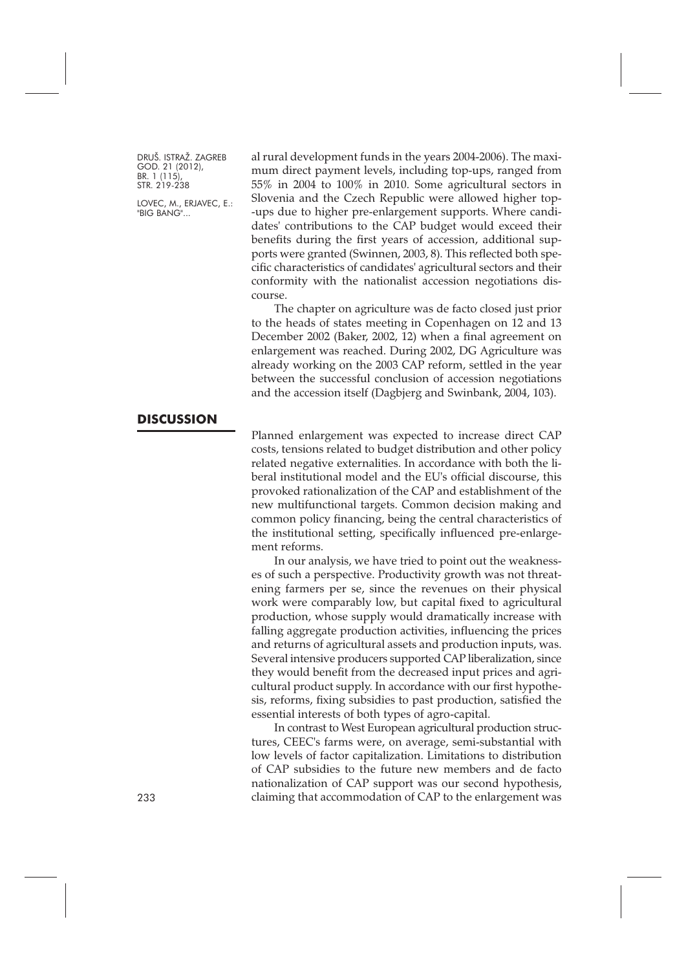LOVEC, M., ERJAVEC, E.: "BIG BANG"...

**DISCUSSION**

al rural development funds in the years 2004-2006). The maximum direct payment levels, including top-ups, ranged from 55% in 2004 to 100% in 2010. Some agricultural sectors in Slovenia and the Czech Republic were allowed higher top- -ups due to higher pre-enlargement supports. Where candidates' contributions to the CAP budget would exceed their benefits during the first years of accession, additional supports were granted (Swinnen, 2003, 8). This reflected both specific characteristics of candidates' agricultural sectors and their conformity with the nationalist accession negotiations discourse.

The chapter on agriculture was de facto closed just prior to the heads of states meeting in Copenhagen on 12 and 13 December 2002 (Baker, 2002, 12) when a final agreement on enlargement was reached. During 2002, DG Agriculture was already working on the 2003 CAP reform, settled in the year between the successful conclusion of accession negotiations and the accession itself (Dagbjerg and Swinbank, 2004, 103).

Planned enlargement was expected to increase direct CAP costs, tensions related to budget distribution and other policy related negative externalities. In accordance with both the liberal institutional model and the EU's official discourse, this provoked rationalization of the CAP and establishment of the new multifunctional targets. Common decision making and common policy financing, being the central characteristics of the institutional setting, specifically influenced pre-enlargement reforms.

In our analysis, we have tried to point out the weaknesses of such a perspective. Productivity growth was not threatening farmers per se, since the revenues on their physical work were comparably low, but capital fixed to agricultural production, whose supply would dramatically increase with falling aggregate production activities, influencing the prices and returns of agricultural assets and production inputs, was. Several intensive producers supported CAP liberalization, since they would benefit from the decreased input prices and agricultural product supply. In accordance with our first hypothesis, reforms, fixing subsidies to past production, satisfied the essential interests of both types of agro-capital.

In contrast to West European agricultural production structures, CEEC's farms were, on average, semi-substantial with low levels of factor capitalization. Limitations to distribution of CAP subsidies to the future new members and de facto nationalization of CAP support was our second hypothesis, 233 claiming that accommodation of CAP to the enlargement was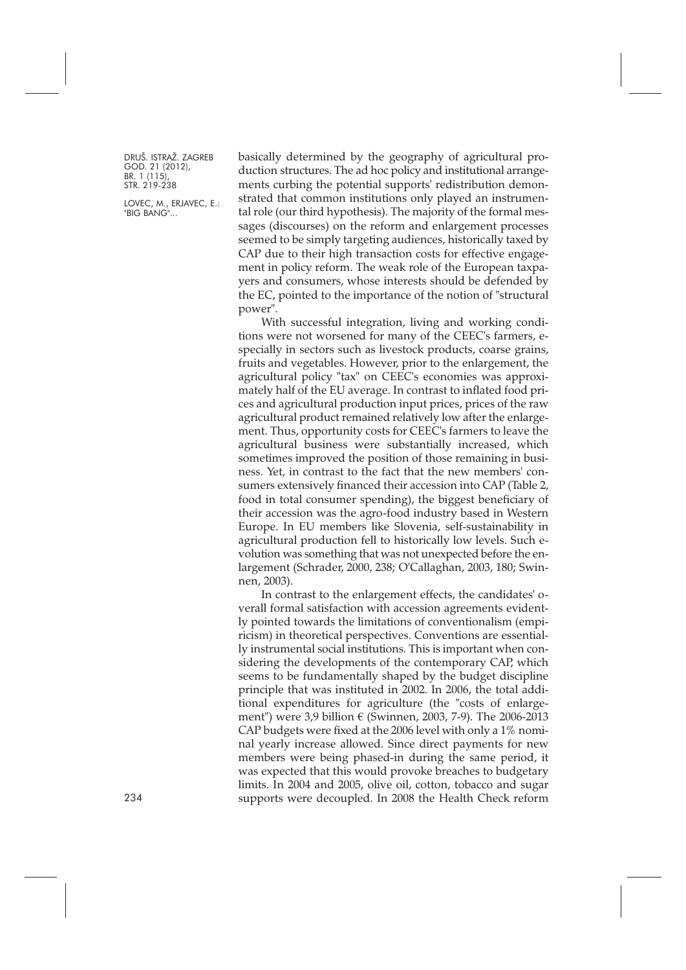LOVEC, M., ERJAVEC, E.: "BIG BANG"...

basically determined by the geography of agricultural production structures. The ad hoc policy and institutional arrangements curbing the potential supports' redistribution demonstrated that common institutions only played an instrumental role (our third hypothesis). The majority of the formal messages (discourses) on the reform and enlargement processes seemed to be simply targeting audiences, historically taxed by CAP due to their high transaction costs for effective engagement in policy reform. The weak role of the European taxpayers and consumers, whose interests should be defended by the EC, pointed to the importance of the notion of "structural power".

With successful integration, living and working conditions were not worsened for many of the CEEC's farmers, especially in sectors such as livestock products, coarse grains, fruits and vegetables. However, prior to the enlargement, the agricultural policy "tax" on CEEC's economies was approximately half of the EU average. In contrast to inflated food prices and agricultural production input prices, prices of the raw agricultural product remained relatively low after the enlargement. Thus, opportunity costs for CEEC's farmers to leave the agricultural business were substantially increased, which sometimes improved the position of those remaining in business. Yet, in contrast to the fact that the new members' consumers extensively financed their accession into CAP (Table 2, food in total consumer spending), the biggest beneficiary of their accession was the agro-food industry based in Western Europe. In EU members like Slovenia, self-sustainability in agricultural production fell to historically low levels. Such evolution was something that was not unexpected before the enlargement (Schrader, 2000, 238; O'Callaghan, 2003, 180; Swinnen, 2003).

In contrast to the enlargement effects, the candidates' overall formal satisfaction with accession agreements evidently pointed towards the limitations of conventionalism (empiricism) in theoretical perspectives. Conventions are essentially instrumental social institutions. This is important when considering the developments of the contemporary CAP, which seems to be fundamentally shaped by the budget discipline principle that was instituted in 2002. In 2006, the total additional expenditures for agriculture (the "costs of enlargement") were 3,9 billion € (Swinnen, 2003, 7-9). The 2006-2013 CAP budgets were fixed at the 2006 level with only a 1% nominal yearly increase allowed. Since direct payments for new members were being phased-in during the same period, it was expected that this would provoke breaches to budgetary limits. In 2004 and 2005, olive oil, cotton, tobacco and sugar 234 supports were decoupled. In 2008 the Health Check reform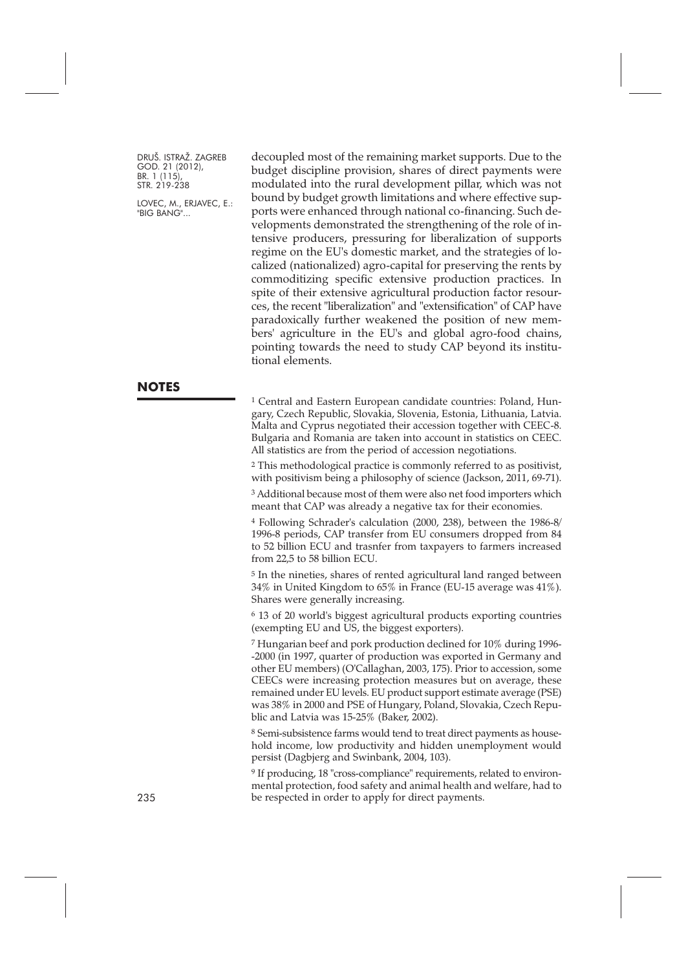LOVEC, M., ERJAVEC, E.: "BIG BANG"...

decoupled most of the remaining market supports. Due to the budget discipline provision, shares of direct payments were modulated into the rural development pillar, which was not bound by budget growth limitations and where effective supports were enhanced through national co-financing. Such developments demonstrated the strengthening of the role of intensive producers, pressuring for liberalization of supports regime on the EU's domestic market, and the strategies of localized (nationalized) agro-capital for preserving the rents by commoditizing specific extensive production practices. In spite of their extensive agricultural production factor resources, the recent "liberalization" and "extensification" of CAP have paradoxically further weakened the position of new members' agriculture in the EU's and global agro-food chains, pointing towards the need to study CAP beyond its institutional elements.

<sup>1</sup> Central and Eastern European candidate countries: Poland, Hungary, Czech Republic, Slovakia, Slovenia, Estonia, Lithuania, Latvia. Malta and Cyprus negotiated their accession together with CEEC-8. Bulgaria and Romania are taken into account in statistics on CEEC. All statistics are from the period of accession negotiations.

<sup>2</sup> This methodological practice is commonly referred to as positivist, with positivism being a philosophy of science (Jackson, 2011, 69-71).

<sup>3</sup> Additional because most of them were also net food importers which meant that CAP was already a negative tax for their economies.

<sup>4</sup> Following Schrader's calculation (2000, 238), between the 1986-8/ 1996-8 periods, CAP transfer from EU consumers dropped from 84 to 52 billion ECU and trasnfer from taxpayers to farmers increased from 22,5 to 58 billion ECU.

<sup>5</sup> In the nineties, shares of rented agricultural land ranged between 34% in United Kingdom to 65% in France (EU-15 average was 41%). Shares were generally increasing.

<sup>6</sup> 13 of 20 world's biggest agricultural products exporting countries (exempting EU and US, the biggest exporters).

<sup>7</sup> Hungarian beef and pork production declined for 10% during 1996- -2000 (in 1997, quarter of production was exported in Germany and other EU members) (O'Callaghan, 2003, 175). Prior to accession, some CEECs were increasing protection measures but on average, these remained under EU levels. EU product support estimate average (PSE) was 38% in 2000 and PSE of Hungary, Poland, Slovakia, Czech Republic and Latvia was 15-25% (Baker, 2002).

8 Semi-subsistence farms would tend to treat direct payments as household income, low productivity and hidden unemployment would persist (Dagbjerg and Swinbank, 2004, 103).

<sup>9</sup> If producing, 18 "cross-compliance" requirements, related to environmental protection, food safety and animal health and welfare, had to 235 be respected in order to apply for direct payments.

### **NOTES**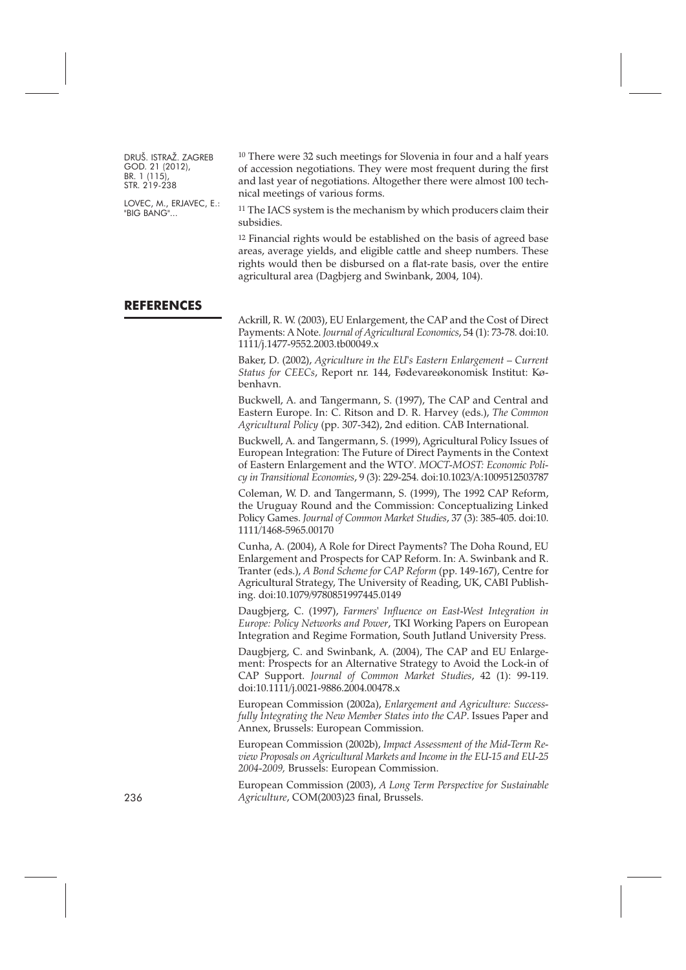LOVEC, M., ERJAVEC, E.: "BIG BANG"...

<sup>10</sup> There were 32 such meetings for Slovenia in four and a half years of accession negotiations. They were most frequent during the first and last year of negotiations. Altogether there were almost 100 technical meetings of various forms.

11 The IACS system is the mechanism by which producers claim their subsidies.

12 Financial rights would be established on the basis of agreed base areas, average yields, and eligible cattle and sheep numbers. These rights would then be disbursed on a flat-rate basis, over the entire agricultural area (Dagbjerg and Swinbank, 2004, 104).

#### **REFERENCES**

Ackrill, R. W. (2003), EU Enlargement, the CAP and the Cost of Direct Payments: A Note. *Journal of Agricultural Economics*, 54 (1): 73-78. [doi:10.](http://dx.doi.org/10.1111/j.1477-9552.2003.tb00049.x) [1111/j.1477-9552.2003.tb00049.x](http://dx.doi.org/10.1111/j.1477-9552.2003.tb00049.x)

Baker, D. (2002), *Agriculture in the EU's Eastern Enlargement – Current Status for CEECs*, Report nr. 144, Fødevareøkonomisk Institut: København.

Buckwell, A. and Tangermann, S. (1997), The CAP and Central and Eastern Europe. In: C. Ritson and D. R. Harvey (eds.), *The Common Agricultural Policy* (pp. 307-342), 2nd edition. CAB International.

Buckwell, A. and Tangermann, S. (1999), Agricultural Policy Issues of European Integration: The Future of Direct Payments in the Context of Eastern Enlargement and the WTO'. *MOCT-MOST: Economic Policy in Transitional Economies*, 9 (3): 229-254. [doi:10.1023/A:1009512503787](http://dx.doi.org/10.1023/A:1009512503787)

Coleman, W. D. and Tangermann, S. (1999), The 1992 CAP Reform, the Uruguay Round and the Commission: Conceptualizing Linked Policy Games. *Journal of Common Market Studies*, 37 (3): 385-405. [doi:10.](http://dx.doi.org/10.1111/1468-5965.00170) [1111/1468-5965.00170](http://dx.doi.org/10.1111/1468-5965.00170)

Cunha, A. (2004), A Role for Direct Payments? The Doha Round, EU Enlargement and Prospects for CAP Reform. In: A. Swinbank and R. Tranter (eds.), *A Bond Scheme for CAP Reform* (pp. 149-167), Centre for Agricultural Strategy, The University of Reading, UK, CABI Publishing. [doi:10.1079/9780851997445.0149](http://dx.doi.org/10.1079/9780851997445.0149)

Daugbjerg, C. (1997), *Farmers' Influence on East-West Integration in Europe: Policy Networks and Power*, TKI Working Papers on European Integration and Regime Formation, South Jutland University Press.

Daugbjerg, C. and Swinbank, A. (2004), The CAP and EU Enlargement: Prospects for an Alternative Strategy to Avoid the Lock-in of CAP Support. *Journal of Common Market Studies*, 42 (1): 99-119. [doi:10.1111/j.0021-9886.2004.00478.x](http://dx.doi.org/10.1111/j.0021-9886.2004.00478.x)

European Commission (2002a), *Enlargement and Agriculture: Successfully Integrating the New Member States into the CAP*. Issues Paper and Annex, Brussels: European Commission.

European Commission (2002b), *Impact Assessment of the Mid-Term Review Proposals on Agricultural Markets and Income in the EU-15 and EU-25 2004-2009,* Brussels: European Commission.

European Commission (2003), *A Long Term Perspective for Sustainable* 236 *Agriculture*, COM(2003)23 final, Brussels.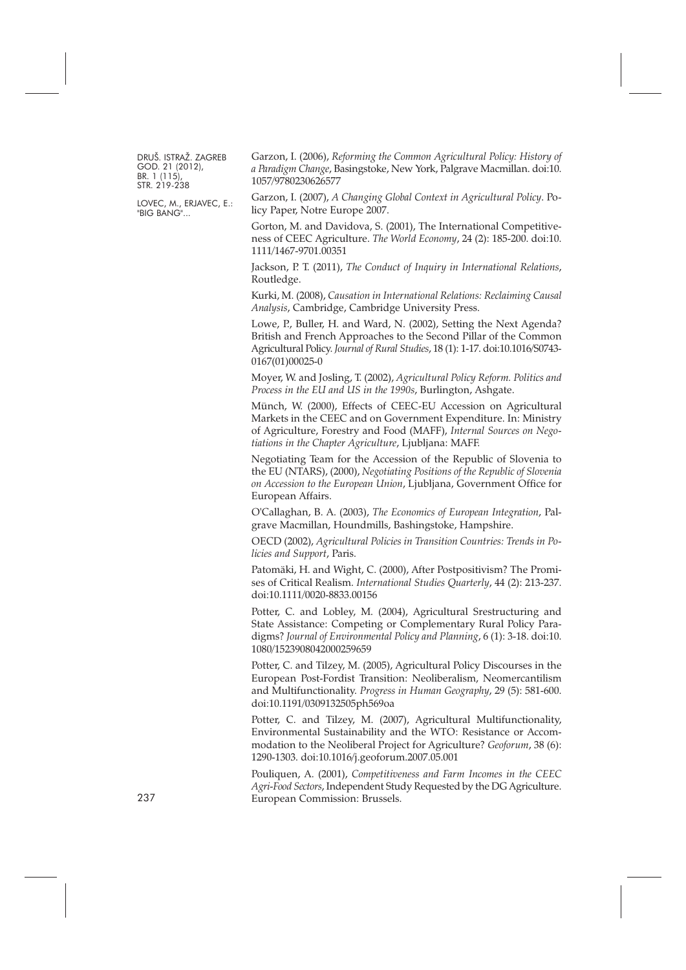LOVEC, M., ERJAVEC, E.: "BIG BANG"...

Garzon, I. (2006), *Reforming the Common Agricultural Policy: History of a Paradigm Change*, Basingstoke, New York, Palgrave Macmillan. [doi:10.](http://dx.doi.org/10.1057/9780230626577) [1057/9780230626577](http://dx.doi.org/10.1057/9780230626577)

Garzon, I. (2007), *A Changing Global Context in Agricultural Policy*. Policy Paper, Notre Europe 2007.

Gorton, M. and Davidova, S. (2001), The International Competitiveness of CEEC Agriculture. *The World Economy*, 24 (2): 185-200. [doi:10.](http://dx.doi.org/10.1111/1467-9701.00351) [1111/1467-9701.00351](http://dx.doi.org/10.1111/1467-9701.00351)

Jackson, P. T. (2011), *The Conduct of Inquiry in International Relations*, Routledge.

Kurki, M. (2008), *Causation in International Relations: Reclaiming Causal Analysis*, Cambridge, Cambridge University Press.

Lowe, P., Buller, H. and Ward, N. (2002), Setting the Next Agenda? British and French Approaches to the Second Pillar of the Common Agricultural Policy. *Journal of Rural Studies*, 18 (1): 1-17. [doi:10.1016/S0743-](http://dx.doi.org/10.1016/S0743-0167(01)00025-0) [0167\(01\)00025-0](http://dx.doi.org/10.1016/S0743-0167(01)00025-0)

Moyer, W. and Josling, T. (2002), *Agricultural Policy Reform. Politics and Process in the EU and US in the 1990s*, Burlington, Ashgate.

Münch, W. (2000), Effects of CEEC-EU Accession on Agricultural Markets in the CEEC and on Government Expenditure. In: Ministry of Agriculture, Forestry and Food (MAFF), *Internal Sources on Negotiations in the Chapter Agriculture*, Ljubljana: MAFF.

Negotiating Team for the Accession of the Republic of Slovenia to the EU (NTARS), (2000), *Negotiating Positions of the Republic of Slovenia on Accession to the European Union*, Ljubljana, Government Office for European Affairs.

O'Callaghan, B. A. (2003), *The Economics of European Integration*, Palgrave Macmillan, Houndmills, Bashingstoke, Hampshire.

OECD (2002), *Agricultural Policies in Transition Countries: Trends in Policies and Support*, Paris.

Patomäki, H. and Wight, C. (2000), After Postpositivism? The Promises of Critical Realism. *International Studies Quarterly*, 44 (2): 213-237. [doi:10.1111/0020-8833.00156](http://dx.doi.org/10.1111/0020-8833.00156)

Potter, C. and Lobley, M. (2004), Agricultural Srestructuring and State Assistance: Competing or Complementary Rural Policy Paradigms? *Journal of Environmental Policy and Planning*, 6 (1): 3-18. [doi:10.](http://dx.doi.org/10.1080/1523908042000259659) [1080/1523908042000259659](http://dx.doi.org/10.1080/1523908042000259659)

Potter, C. and Tilzey, M. (2005), Agricultural Policy Discourses in the European Post-Fordist Transition: Neoliberalism, Neomercantilism and Multifunctionality. *Progress in Human Geography*, 29 (5): 581-600. [doi:10.1191/0309132505ph569oa](http://dx.doi.org/10.1191/0309132505ph569oa)

Potter, C. and Tilzey, M. (2007), Agricultural Multifunctionality, Environmental Sustainability and the WTO: Resistance or Accommodation to the Neoliberal Project for Agriculture? *Geoforum*, 38 (6): 1290-1303. [doi:10.1016/j.geoforum.2007.05.001](http://dx.doi.org/10.1016/j.geoforum.2007.05.001)

Pouliquen, A. (2001), *Competitiveness and Farm Incomes in the CEEC Agri-Food Sectors*, Independent Study Requested by the DG Agriculture. 237 European Commission: Brussels.